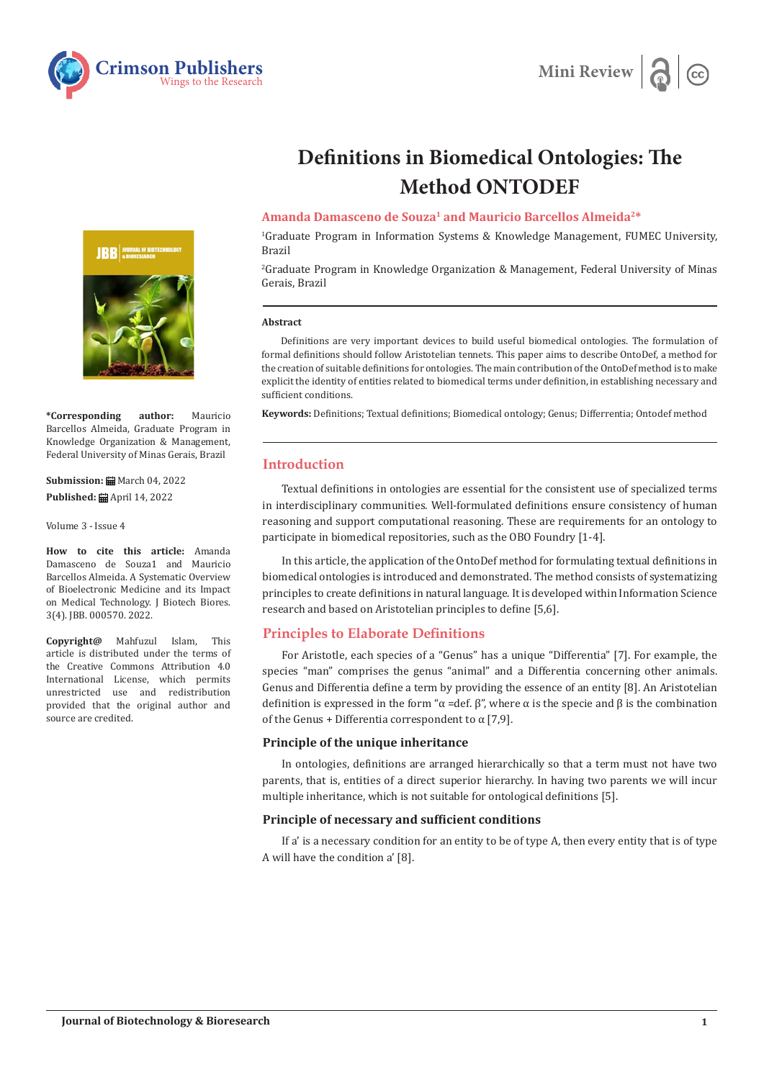



# **Definitions in Biomedical Ontologies: The Method ONTODEF**

## **Amanda Damasceno de Souza1 and Mauricio Barcellos Almeida2\***

1 Graduate Program in Information Systems & Knowledge Management, FUMEC University, Brazil

2 Graduate Program in Knowledge Organization & Management, Federal University of Minas Gerais, Brazil

#### **Abstract**

Definitions are very important devices to build useful biomedical ontologies. The formulation of formal definitions should follow Aristotelian tennets. This paper aims to describe OntoDef, a method for the creation of suitable definitions for ontologies. The main contribution of the OntoDef method is to make explicit the identity of entities related to biomedical terms under definition, in establishing necessary and sufficient conditions.

**Keywords:** Definitions; Textual definitions; Biomedical ontology; Genus; Differrentia; Ontodef method

## **Introduction**

Textual definitions in ontologies are essential for the consistent use of specialized terms in interdisciplinary communities. Well-formulated definitions ensure consistency of human reasoning and support computational reasoning. These are requirements for an ontology to participate in biomedical repositories, such as the OBO Foundry [1-4].

In this article, the application of the OntoDef method for formulating textual definitions in biomedical ontologies is introduced and demonstrated. The method consists of systematizing principles to create definitions in natural language. It is developed within Information Science research and based on Aristotelian principles to define [5,6].

### **Principles to Elaborate Definitions**

For Aristotle, each species of a "Genus" has a unique "Differentia" [7]. For example, the species "man" comprises the genus "animal" and a Differentia concerning other animals. Genus and Differentia define a term by providing the essence of an entity [8]. An Aristotelian definition is expressed in the form "α =def. β", where α is the specie and β is the combination of the Genus + Differentia correspondent to  $\alpha$  [7,9].

#### **Principle of the unique inheritance**

In ontologies, definitions are arranged hierarchically so that a term must not have two parents, that is, entities of a direct superior hierarchy. In having two parents we will incur multiple inheritance, which is not suitable for ontological definitions [5].

## **Principle of necessary and sufficient conditions**

If a' is a necessary condition for an entity to be of type A, then every entity that is of type A will have the condition a' [8].



**\*Corresponding author:** Mauricio Barcellos Almeida, Graduate Program in Knowledge Organization & Management, Federal University of Minas Gerais, Brazil

**Submission: m** March 04, 2022 **Published: ■** April 14, 2022

Volume 3 - Issue 4

**How to cite this article:** Amanda Damasceno de Souza1 and Mauricio Barcellos Almeida. A Systematic Overview of Bioelectronic Medicine and its Impact on Medical Technology. J Biotech Biores. 3(4). JBB. 000570. 2022.

**Copyright@** Mahfuzul Islam, This article is distributed under the terms of the Creative Commons Attribution 4.0 International License, which permits unrestricted use and redistribution provided that the original author and source are credited.